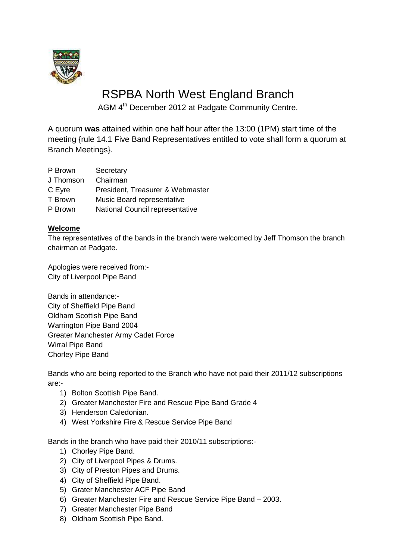

# RSPBA North West England Branch

AGM 4<sup>th</sup> December 2012 at Padgate Community Centre.

A quorum **was** attained within one half hour after the 13:00 (1PM) start time of the meeting {rule 14.1 Five Band Representatives entitled to vote shall form a quorum at Branch Meetings}.

| P Brown   | Secretary                        |
|-----------|----------------------------------|
| J Thomson | Chairman                         |
| C Eyre    | President, Treasurer & Webmaster |

- T Brown Music Board representative
- P Brown National Council representative

### **Welcome**

The representatives of the bands in the branch were welcomed by Jeff Thomson the branch chairman at Padgate.

Apologies were received from:- City of Liverpool Pipe Band

Bands in attendance:- City of Sheffield Pipe Band Oldham Scottish Pipe Band Warrington Pipe Band 2004 Greater Manchester Army Cadet Force Wirral Pipe Band Chorley Pipe Band

Bands who are being reported to the Branch who have not paid their 2011/12 subscriptions are:-

- 1) Bolton Scottish Pipe Band.
- 2) Greater Manchester Fire and Rescue Pipe Band Grade 4
- 3) Henderson Caledonian.
- 4) West Yorkshire Fire & Rescue Service Pipe Band

Bands in the branch who have paid their 2010/11 subscriptions:-

- 1) Chorley Pipe Band.
- 2) City of Liverpool Pipes & Drums.
- 3) City of Preston Pipes and Drums.
- 4) City of Sheffield Pipe Band.
- 5) Grater Manchester ACF Pipe Band
- 6) Greater Manchester Fire and Rescue Service Pipe Band 2003.
- 7) Greater Manchester Pipe Band
- 8) Oldham Scottish Pipe Band.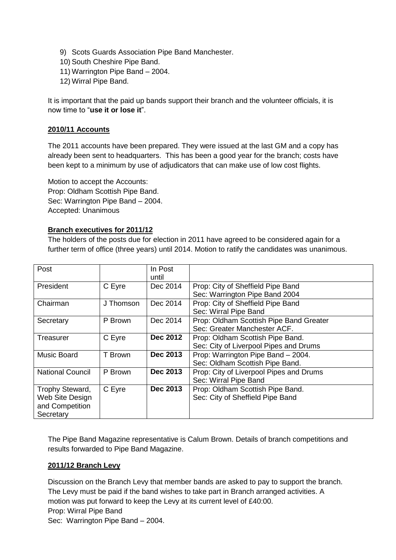- 9) Scots Guards Association Pipe Band Manchester.
- 10) South Cheshire Pipe Band.
- 11) Warrington Pipe Band 2004.
- 12) Wirral Pipe Band.

It is important that the paid up bands support their branch and the volunteer officials, it is now time to "**use it or lose it**".

#### **2010/11 Accounts**

The 2011 accounts have been prepared. They were issued at the last GM and a copy has already been sent to headquarters. This has been a good year for the branch; costs have been kept to a minimum by use of adjudicators that can make use of low cost flights.

Motion to accept the Accounts: Prop: Oldham Scottish Pipe Band. Sec: Warrington Pipe Band – 2004. Accepted: Unanimous

#### **Branch executives for 2011/12**

The holders of the posts due for election in 2011 have agreed to be considered again for a further term of office (three years) until 2014. Motion to ratify the candidates was unanimous.

| Post                    |           | In Post         |                                         |
|-------------------------|-----------|-----------------|-----------------------------------------|
|                         |           | until           |                                         |
| President               | C Eyre    | Dec 2014        | Prop: City of Sheffield Pipe Band       |
|                         |           |                 | Sec: Warrington Pipe Band 2004          |
| Chairman                | J Thomson | Dec 2014        | Prop: City of Sheffield Pipe Band       |
|                         |           |                 | Sec: Wirral Pipe Band                   |
| Secretary               | P Brown   | Dec 2014        | Prop: Oldham Scottish Pipe Band Greater |
|                         |           |                 | Sec: Greater Manchester ACF.            |
| Treasurer               | C Eyre    | <b>Dec 2012</b> | Prop: Oldham Scottish Pipe Band.        |
|                         |           |                 | Sec: City of Liverpool Pipes and Drums  |
| <b>Music Board</b>      | T Brown   | Dec 2013        | Prop: Warrington Pipe Band - 2004.      |
|                         |           |                 | Sec: Oldham Scottish Pipe Band.         |
| <b>National Council</b> | P Brown   | Dec 2013        | Prop: City of Liverpool Pipes and Drums |
|                         |           |                 | Sec: Wirral Pipe Band                   |
| Trophy Steward,         | C Eyre    | Dec 2013        | Prop: Oldham Scottish Pipe Band.        |
| Web Site Design         |           |                 | Sec: City of Sheffield Pipe Band        |
| and Competition         |           |                 |                                         |
| Secretary               |           |                 |                                         |

The Pipe Band Magazine representative is Calum Brown. Details of branch competitions and results forwarded to Pipe Band Magazine.

#### **2011/12 Branch Levy**

Discussion on the Branch Levy that member bands are asked to pay to support the branch. The Levy must be paid if the band wishes to take part in Branch arranged activities. A motion was put forward to keep the Levy at its current level of £40:00. Prop: Wirral Pipe Band Sec: Warrington Pipe Band – 2004.